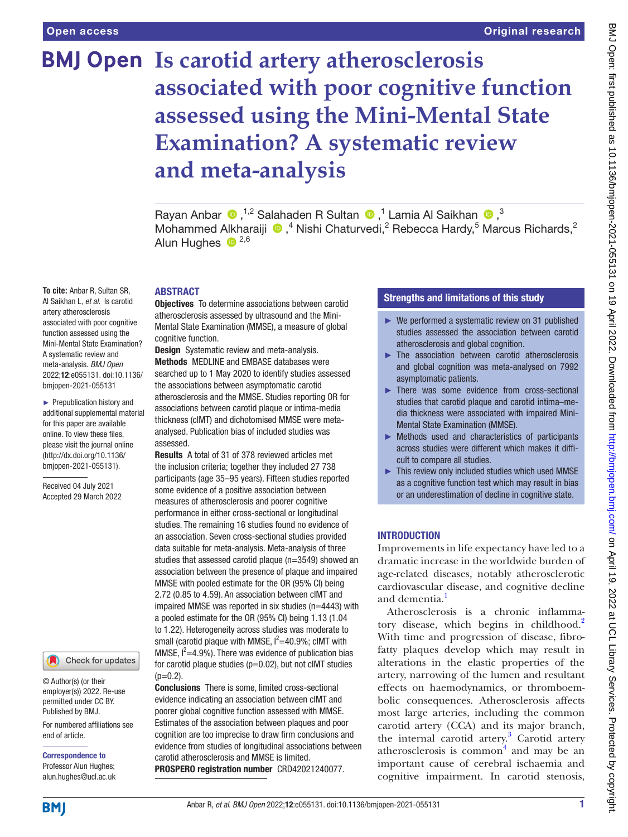# **BMJ Open** Is carotid artery atherosclerosis **associated with poor cognitive function assessed using the Mini-Mental State Examination? A systematic review and meta-analysis**

RayanAnbar  $\bigcirc$ ,<sup>1,2</sup> Salahaden R Sultan  $\bigcirc$ ,<sup>1</sup> Lamia Al Saikhan  $\bigcirc$ ,<sup>3</sup> MohammedAlkharaiji  $\bigcirc$ ,<sup>4</sup> Nishi Chaturvedi,<sup>2</sup> Rebecca Hardy,<sup>5</sup> Marcus Richards,<sup>2</sup> Alun Hughes  $\bullet$  <sup>2,6</sup>

## ABSTRACT

**Objectives** To determine associations between carotid atherosclerosis assessed by ultrasound and the Mini-Mental State Examination (MMSE), a measure of global cognitive function.

**Design** Systematic review and meta-analysis. Methods MEDLINE and EMBASE databases were searched up to 1 May 2020 to identify studies assessed the associations between asymptomatic carotid atherosclerosis and the MMSE. Studies reporting OR for associations between carotid plaque or intima-media thickness (cIMT) and dichotomised MMSE were metaanalysed. Publication bias of included studies was assessed.

Results A total of 31 of 378 reviewed articles met the inclusion criteria; together they included 27 738 participants (age 35–95 years). Fifteen studies reported some evidence of a positive association between measures of atherosclerosis and poorer cognitive performance in either cross-sectional or longitudinal studies. The remaining 16 studies found no evidence of an association. Seven cross-sectional studies provided data suitable for meta-analysis. Meta-analysis of three studies that assessed carotid plaque (n=3549) showed an association between the presence of plaque and impaired MMSE with pooled estimate for the OR (95% CI) being 2.72 (0.85 to 4.59). An association between cIMT and impaired MMSE was reported in six studies (n=4443) with a pooled estimate for the OR (95% CI) being 1.13 (1.04 to 1.22). Heterogeneity across studies was moderate to small (carotid plaque with MMSE,  $I^2=40.9\%$ ; clMT with MMSE,  $I^2=4.9\%$ ). There was evidence of publication bias for carotid plaque studies ( $p=0.02$ ), but not cIMT studies  $(p=0.2)$ .

Conclusions There is some, limited cross-sectional evidence indicating an association between cIMT and poorer global cognitive function assessed with MMSE. Estimates of the association between plaques and poor cognition are too imprecise to draw firm conclusions and evidence from studies of longitudinal associations between carotid atherosclerosis and MMSE is limited. PROSPERO registration number CRD42021240077.

## Strengths and limitations of this study

- $\blacktriangleright$  We performed a systematic review on 31 published studies assessed the association between carotid atherosclerosis and global cognition.
- ► The association between carotid atherosclerosis and global cognition was meta-analysed on 7992 asymptomatic patients.
- ► There was some evidence from cross-sectional studies that carotid plaque and carotid intima–media thickness were associated with impaired Mini-Mental State Examination (MMSE).
- ► Methods used and characteristics of participants across studies were different which makes it difficult to compare all studies.
- ► This review only included studies which used MMSE as a cognitive function test which may result in bias or an underestimation of decline in cognitive state.

## **INTRODUCTION**

Improvements in life expectancy have led to a dramatic increase in the worldwide burden of age-related diseases, notably atherosclerotic cardiovascular disease, and cognitive decline and dementia.<sup>1</sup>

Atherosclerosis is a chronic inflammatory disease, which begins in childhood.<sup>2</sup> With time and progression of disease, fibrofatty plaques develop which may result in alterations in the elastic properties of the artery, narrowing of the lumen and resultant effects on haemodynamics, or thromboembolic consequences. Atherosclerosis affects most large arteries, including the common carotid artery (CCA) and its major branch, the internal carotid artery.<sup>[3](#page-6-2)</sup> Carotid artery atherosclerosis is common $4$  and may be an important cause of cerebral ischaemia and cognitive impairment. In carotid stenosis,

for this paper are available online. To view these files, please visit the journal online [\(http://dx.doi.org/10.1136/](http://dx.doi.org/10.1136/bmjopen-2021-055131) [bmjopen-2021-055131](http://dx.doi.org/10.1136/bmjopen-2021-055131)).

**To cite:** Anbar R, Sultan SR, Al Saikhan L, *et al*. Is carotid artery atherosclerosis associated with poor cognitive function assessed using the Mini-Mental State Examination? A systematic review and meta-analysis. *BMJ Open* 2022;12:e055131. doi:10.1136/ bmjopen-2021-055131 ► Prepublication history and additional supplemental material

Received 04 July 2021 Accepted 29 March 2022



© Author(s) (or their employer(s)) 2022. Re-use permitted under CC BY. Published by BMJ.

For numbered affiliations see end of article.

Correspondence to Professor Alun Hughes; alun.hughes@ucl.ac.uk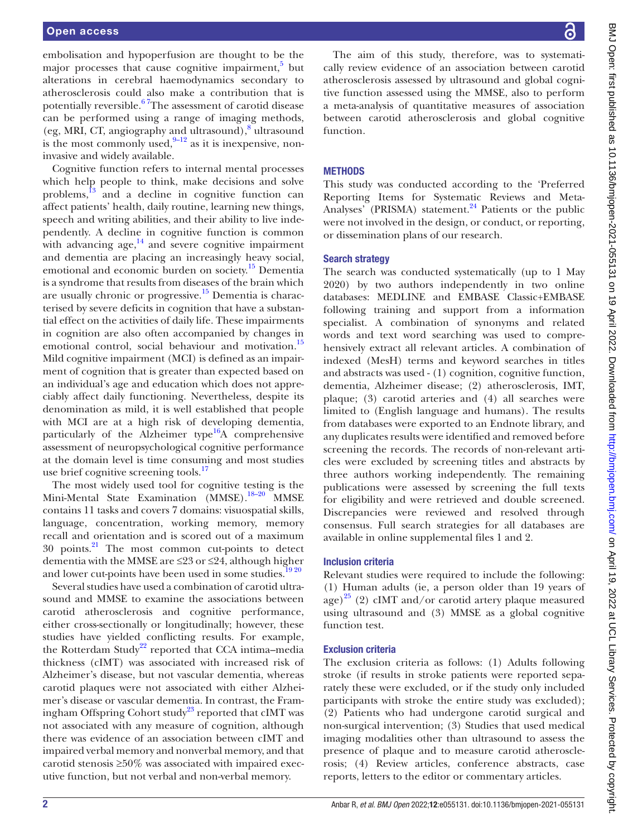embolisation and hypoperfusion are thought to be the major processes that cause cognitive impairment, $5$  but alterations in cerebral haemodynamics secondary to atherosclerosis could also make a contribution that is potentially reversible.<sup>67</sup>The assessment of carotid disease can be performed using a range of imaging methods, (eg, MRI, CT, angiography and ultrasound),<sup>[8](#page-6-6)</sup> ultrasound is the most commonly used, $9-12$  as it is inexpensive, noninvasive and widely available.

Cognitive function refers to internal mental processes which help people to think, make decisions and solve problems, $^{13}$  and a decline in cognitive function can affect patients' health, daily routine, learning new things, speech and writing abilities, and their ability to live independently. A decline in cognitive function is common with advancing age, $^{14}$  and severe cognitive impairment and dementia are placing an increasingly heavy social, emotional and economic burden on society.<sup>[15](#page-6-10)</sup> Dementia is a syndrome that results from diseases of the brain which are usually chronic or progressive. $15$  Dementia is characterised by severe deficits in cognition that have a substantial effect on the activities of daily life. These impairments in cognition are also often accompanied by changes in emotional control, social behaviour and motivation.<sup>15</sup> Mild cognitive impairment (MCI) is defined as an impairment of cognition that is greater than expected based on an individual's age and education which does not appreciably affect daily functioning. Nevertheless, despite its denomination as mild, it is well established that people with MCI are at a high risk of developing dementia, particularly of the Alzheimer type<sup>16</sup>A comprehensive assessment of neuropsychological cognitive performance at the domain level is time consuming and most studies use brief cognitive screening tools.<sup>[17](#page-6-12)</sup>

The most widely used tool for cognitive testing is the Mini-Mental State Examination (MMSE).<sup>18–20</sup> MMSE contains 11 tasks and covers 7 domains: visuospatial skills, language, concentration, working memory, memory recall and orientation and is scored out of a maximum  $30$  points.<sup>21</sup> The most common cut-points to detect dementia with the MMSE are ≤23 or ≤24, although higher and lower cut-points have been used in some studies.<sup>1920</sup>

Several studies have used a combination of carotid ultrasound and MMSE to examine the associations between carotid atherosclerosis and cognitive performance, either cross-sectionally or longitudinally; however, these studies have yielded conflicting results. For example, the Rotterdam Study<sup>22</sup> reported that CCA intima–media thickness (cIMT) was associated with increased risk of Alzheimer's disease, but not vascular dementia, whereas carotid plaques were not associated with either Alzheimer's disease or vascular dementia. In contrast, the Fram-ingham Offspring Cohort study<sup>[23](#page-7-0)</sup> reported that cIMT was not associated with any measure of cognition, although there was evidence of an association between cIMT and impaired verbal memory and nonverbal memory, and that carotid stenosis  $\geq 50\%$  was associated with impaired executive function, but not verbal and non-verbal memory.

BMJ Open: first published as 10.1136/bmjopen-2021-055131 on 19 April 2022. Downloaded from http://bmjopen.bmj.com/ on April 19, 2022 at UCL Library Services. Protected by copyright BMJ Open: first published as 10.1136/bmjopen-2021-055131 on 19 April 2022. Downloaded from <http://bmjopen.bmj.com/> on April 19, 2022 at UCL Library Services. Protected by copyright.

The aim of this study, therefore, was to systematically review evidence of an association between carotid atherosclerosis assessed by ultrasound and global cognitive function assessed using the MMSE, also to perform a meta-analysis of quantitative measures of association between carotid atherosclerosis and global cognitive function.

## **METHODS**

This study was conducted according to the 'Preferred Reporting Items for Systematic Reviews and Meta-Analyses' (PRISMA) statement. $^{24}$  Patients or the public were not involved in the design, or conduct, or reporting, or dissemination plans of our research.

## Search strategy

The search was conducted systematically (up to 1 May 2020) by two authors independently in two online databases: MEDLINE and EMBASE Classic+EMBASE following training and support from a information specialist. A combination of synonyms and related words and text word searching was used to comprehensively extract all relevant articles. A combination of indexed (MesH) terms and keyword searches in titles and abstracts was used - (1) cognition, cognitive function, dementia, Alzheimer disease; (2) atherosclerosis, IMT, plaque; (3) carotid arteries and (4) all searches were limited to (English language and humans). The results from databases were exported to an Endnote library, and any duplicates results were identified and removed before screening the records. The records of non-relevant articles were excluded by screening titles and abstracts by three authors working independently. The remaining publications were assessed by screening the full texts for eligibility and were retrieved and double screened. Discrepancies were reviewed and resolved through consensus. Full search strategies for all databases are available in [online supplemental files 1 and 2](https://dx.doi.org/10.1136/bmjopen-2021-055131).

## Inclusion criteria

Relevant studies were required to include the following: (1) Human adults (ie, a person older than 19 years of age)<sup>25</sup> (2) cIMT and/or carotid artery plaque measured using ultrasound and (3) MMSE as a global cognitive function test.

#### Exclusion criteria

The exclusion criteria as follows: (1) Adults following stroke (if results in stroke patients were reported separately these were excluded, or if the study only included participants with stroke the entire study was excluded); (2) Patients who had undergone carotid surgical and non-surgical intervention; (3) Studies that used medical imaging modalities other than ultrasound to assess the presence of plaque and to measure carotid atherosclerosis; (4) Review articles, conference abstracts, case reports, letters to the editor or commentary articles.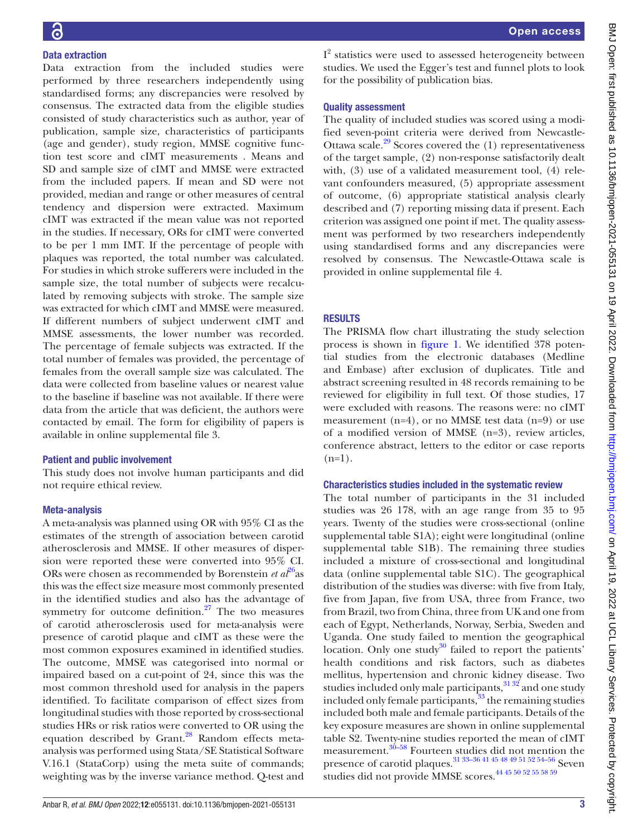# Data extraction

Data extraction from the included studies were performed by three researchers independently using standardised forms; any discrepancies were resolved by consensus. The extracted data from the eligible studies consisted of study characteristics such as author, year of publication, sample size, characteristics of participants (age and gender), study region, MMSE cognitive function test score and cIMT measurements . Means and SD and sample size of cIMT and MMSE were extracted from the included papers. If mean and SD were not provided, median and range or other measures of central tendency and dispersion were extracted. Maximum cIMT was extracted if the mean value was not reported in the studies. If necessary, ORs for cIMT were converted to be per 1 mm IMT. If the percentage of people with plaques was reported, the total number was calculated. For studies in which stroke sufferers were included in the sample size, the total number of subjects were recalculated by removing subjects with stroke. The sample size was extracted for which cIMT and MMSE were measured. If different numbers of subject underwent cIMT and MMSE assessments, the lower number was recorded. The percentage of female subjects was extracted. If the total number of females was provided, the percentage of females from the overall sample size was calculated. The data were collected from baseline values or nearest value to the baseline if baseline was not available. If there were data from the article that was deficient, the authors were contacted by email. The form for eligibility of papers is available in [online supplemental file 3](https://dx.doi.org/10.1136/bmjopen-2021-055131).

## Patient and public involvement

This study does not involve human participants and did not require ethical review.

## Meta-analysis

A meta-analysis was planned using OR with 95% CI as the estimates of the strength of association between carotid atherosclerosis and MMSE. If other measures of dispersion were reported these were converted into 95% CI. ORs were chosen as recommended by Borenstein *et al*<sup>26</sup>as this was the effect size measure most commonly presented in the identified studies and also has the advantage of symmetry for outcome definition. $27$  The two measures of carotid atherosclerosis used for meta-analysis were presence of carotid plaque and cIMT as these were the most common exposures examined in identified studies. The outcome, MMSE was categorised into normal or impaired based on a cut-point of 24, since this was the most common threshold used for analysis in the papers identified. To facilitate comparison of effect sizes from longitudinal studies with those reported by cross-sectional studies HRs or risk ratios were converted to OR using the equation described by Grant.<sup>28</sup> Random effects metaanalysis was performed using Stata/SE Statistical Software V.16.1 (StataCorp) using the meta suite of commands; weighting was by the inverse variance method. Q-test and

I<sup>2</sup> statistics were used to assessed heterogeneity between studies. We used the Egger's test and funnel plots to look for the possibility of publication bias.

# Quality assessment

The quality of included studies was scored using a modified seven-point criteria were derived from Newcastle-Ottawa scale. $29$  Scores covered the (1) representativeness of the target sample, (2) non-response satisfactorily dealt with, (3) use of a validated measurement tool, (4) relevant confounders measured, (5) appropriate assessment of outcome, (6) appropriate statistical analysis clearly described and (7) reporting missing data if present. Each criterion was assigned one point if met. The quality assessment was performed by two researchers independently using standardised forms and any discrepancies were resolved by consensus. The Newcastle-Ottawa scale is provided in [online supplemental file 4](https://dx.doi.org/10.1136/bmjopen-2021-055131).

# RESULTS

The PRISMA flow chart illustrating the study selection process is shown in [figure](#page-3-0) 1. We identified 378 potential studies from the electronic databases (Medline and Embase) after exclusion of duplicates. Title and abstract screening resulted in 48 records remaining to be reviewed for eligibility in full text. Of those studies, 17 were excluded with reasons. The reasons were: no cIMT measurement (n=4), or no MMSE test data (n=9) or use of a modified version of MMSE (n=3), review articles, conference abstract, letters to the editor or case reports  $(n=1)$ .

## Characteristics studies included in the systematic review

The total number of participants in the 31 included studies was 26 178, with an age range from 35 to 95 years. Twenty of the studies were cross-sectional ([online](https://dx.doi.org/10.1136/bmjopen-2021-055131)  [supplemental table S1A](https://dx.doi.org/10.1136/bmjopen-2021-055131)); eight were longitudinal ([online](https://dx.doi.org/10.1136/bmjopen-2021-055131)  [supplemental table S1B\)](https://dx.doi.org/10.1136/bmjopen-2021-055131). The remaining three studies included a mixture of cross-sectional and longitudinal data ([online supplemental table S1C\)](https://dx.doi.org/10.1136/bmjopen-2021-055131). The geographical distribution of the studies was diverse: with five from Italy, five from Japan, five from USA, three from France, two from Brazil, two from China, three from UK and one from each of Egypt, Netherlands, Norway, Serbia, Sweden and Uganda. One study failed to mention the geographical location. Only one study<sup>30</sup> failed to report the patients' health conditions and risk factors, such as diabetes mellitus, hypertension and chronic kidney disease. Two studies included only male participants,  $31\frac{32}{2}$  and one study included only female participants,  $33$  the remaining studies included both male and female participants. Details of the key exposure measures are shown in [online supplemental](https://dx.doi.org/10.1136/bmjopen-2021-055131)  [table S2](https://dx.doi.org/10.1136/bmjopen-2021-055131). Twenty-nine studies reported the mean of cIMT measurement.<sup>30–58</sup> Fourteen studies did not mention the presence of carotid plaques.<sup>31</sup> <sup>33-36</sup> 41 <sup>45</sup> 48 49 <sup>51</sup> <sup>52</sup> 54-56</sup> Seven studies did not provide MMSE scores.<sup>[44 45 50 52 55 58 59](#page-7-10)</sup>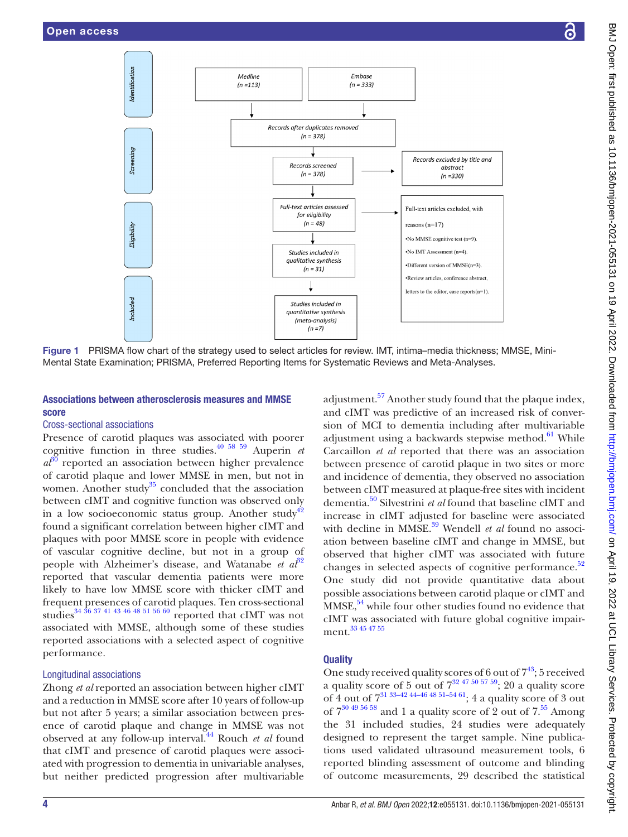

Figure 1 PRISMA flow chart of the strategy used to select articles for review. IMT, intima–media thickness; MMSE, Mini-Mental State Examination; PRISMA, Preferred Reporting Items for Systematic Reviews and Meta-Analyses.

# Associations between atherosclerosis measures and MMSE score

## Cross-sectional associations

Presence of carotid plaques was associated with poorer cognitive function in three studies.[40 58 59](#page-7-11) Auperin *et*   $a<sup>30</sup>$  reported an association between higher prevalence of carotid plaque and lower MMSE in men, but not in women. Another study<sup>[35](#page-7-12)</sup> concluded that the association between cIMT and cognitive function was observed only in a low socioeconomic status group. Another study<sup>42</sup> found a significant correlation between higher cIMT and plaques with poor MMSE score in people with evidence of vascular cognitive decline, but not in a group of people with Alzheimer's disease, and Watanabe *et al*<sup>[32](#page-7-14)</sup> reported that vascular dementia patients were more likely to have low MMSE score with thicker cIMT and frequent presences of carotid plaques. Ten cross-sectional studies[34 36 37 41 43 46 48 51 56 60](#page-7-15) reported that cIMT was not associated with MMSE, although some of these studies reported associations with a selected aspect of cognitive performance.

# Longitudinal associations

Zhong *et al* reported an association between higher cIMT and a reduction in MMSE score after 10 years of follow-up but not after 5 years; a similar association between presence of carotid plaque and change in MMSE was not observed at any follow-up interval.[44](#page-7-10) Rouch *et al* found that cIMT and presence of carotid plaques were associated with progression to dementia in univariable analyses, but neither predicted progression after multivariable

<span id="page-3-0"></span>adjustment.<sup>57</sup> Another study found that the plaque index, and cIMT was predictive of an increased risk of conversion of MCI to dementia including after multivariable adjustment using a backwards stepwise method. $61$  While Carcaillon *et al* reported that there was an association between presence of carotid plaque in two sites or more and incidence of dementia, they observed no association between cIMT measured at plaque-free sites with incident dementia.[50](#page-7-18) Silvestrini *et al* found that baseline cIMT and increase in cIMT adjusted for baseline were associated with decline in MMSE.<sup>39</sup> Wendell *et al* found no association between baseline cIMT and change in MMSE, but observed that higher cIMT was associated with future changes in selected aspects of cognitive performance. $52$ One study did not provide quantitative data about possible associations between carotid plaque or cIMT and  $MMSE<sub>1</sub><sup>54</sup>$  $MMSE<sub>1</sub><sup>54</sup>$  $MMSE<sub>1</sub><sup>54</sup>$  while four other studies found no evidence that cIMT was associated with future global cognitive impairment[.33 45 47 55](#page-7-9)

## **Quality**

One study received quality scores of 6 out of  $7^{43}$ ; 5 received a quality score of 5 out of  $7^{32}$  47 50 57 59; 20 a quality score of 4 out of  $7^{31}$   $^{33-42}$   $^{44-46}$   $^{48}$   $^{51-54}$   $^{61}$ ; 4 a quality score of 3 out of  $7^{30}$  49 56 58 and 1 a quality score of 2 out of  $7.55$  Among the 31 included studies, 24 studies were adequately designed to represent the target sample. Nine publications used validated ultrasound measurement tools, 6 reported blinding assessment of outcome and blinding of outcome measurements, 29 described the statistical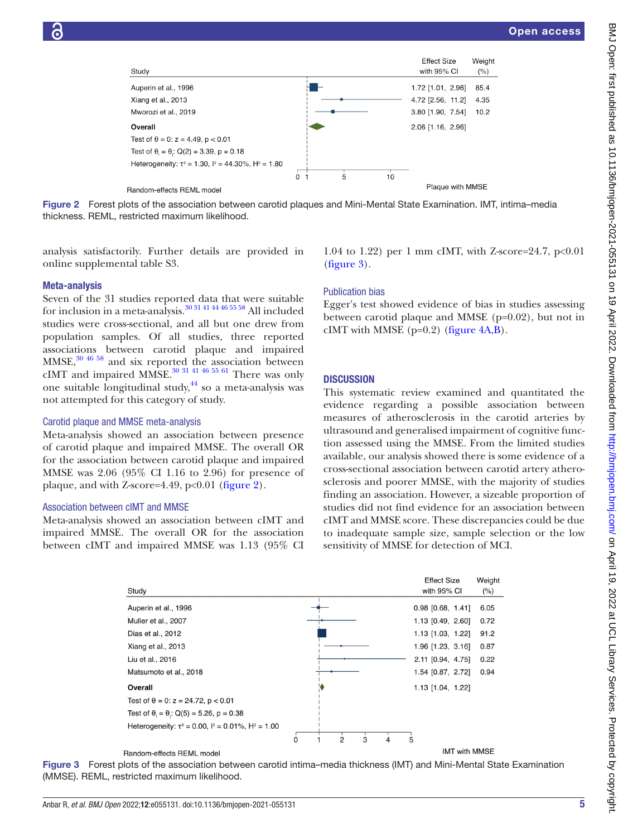

Figure 2 Forest plots of the association between carotid plaques and Mini-Mental State Examination. IMT, intima–media thickness. REML, restricted maximum likelihood.

analysis satisfactorily. Further details are provided in [online supplemental table S3](https://dx.doi.org/10.1136/bmjopen-2021-055131).

#### Meta-analysis

Seven of the 31 studies reported data that were suitable for inclusion in a meta-analysis. $30\,31\,41\,44\,46\,55\,58$  All included studies were cross-sectional, and all but one drew from population samples. Of all studies, three reported associations between carotid plaque and impaired  $MMSE$ , $30\,46\,58$  and six reported the association between cIMT and impaired MMSE.<sup>30 31 41 46 55 61</sup> There was only one suitable longitudinal study, $44$  so a meta-analysis was not attempted for this category of study.

#### Carotid plaque and MMSE meta-analysis

Meta-analysis showed an association between presence of carotid plaque and impaired MMSE. The overall OR for the association between carotid plaque and impaired MMSE was 2.06 (95% CI 1.16 to 2.96) for presence of plaque, and with Z-score=4.49,  $p<0.01$  ([figure](#page-4-0) 2).

## Association between cIMT and MMSE

Meta-analysis showed an association between cIMT and impaired MMSE. The overall OR for the association between cIMT and impaired MMSE was 1.13 (95% CI <span id="page-4-0"></span>1.04 to 1.22) per 1 mm cIMT, with Z-score=24.7,  $p<0.01$ [\(figure](#page-4-1) 3).

## Publication bias

Egger's test showed evidence of bias in studies assessing between carotid plaque and MMSE (p=0.02), but not in cIMT with MMSE  $(p=0.2)$  [\(figure](#page-5-0)  $4A,B$ ).

## **DISCUSSION**

This systematic review examined and quantitated the evidence regarding a possible association between measures of atherosclerosis in the carotid arteries by ultrasound and generalised impairment of cognitive function assessed using the MMSE. From the limited studies available, our analysis showed there is some evidence of a cross-sectional association between carotid artery atherosclerosis and poorer MMSE, with the majority of studies finding an association. However, a sizeable proportion of studies did not find evidence for an association between cIMT and MMSE score. These discrepancies could be due to inadequate sample size, sample selection or the low sensitivity of MMSE for detection of MCI.



#### <span id="page-4-1"></span>Random-effects REML model

Figure 3 Forest plots of the association between carotid intima–media thickness (IMT) and Mini-Mental State Examination (MMSE). REML, restricted maximum likelihood.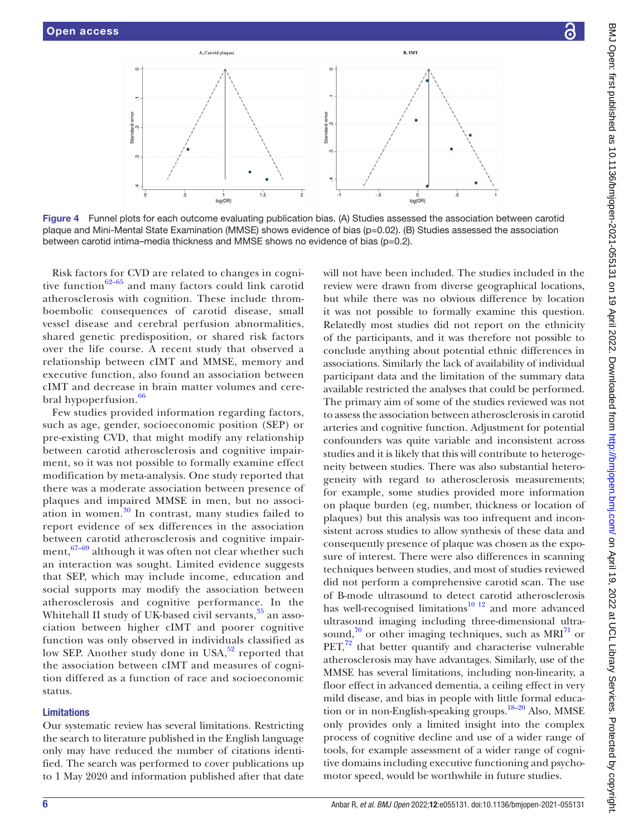

Figure 4 Funnel plots for each outcome evaluating publication bias. (A) Studies assessed the association between carotid plaque and Mini-Mental State Examination (MMSE) shows evidence of bias (p=0.02). (B) Studies assessed the association between carotid intima–media thickness and MMSE shows no evidence of bias (p=0.2).

Risk factors for CVD are related to changes in cognitive function $62-65$  and many factors could link carotid atherosclerosis with cognition. These include thromboembolic consequences of carotid disease, small vessel disease and cerebral perfusion abnormalities, shared genetic predisposition, or shared risk factors over the life course. A recent study that observed a relationship between cIMT and MMSE, memory and executive function, also found an association between cIMT and decrease in brain matter volumes and cere-bral hypoperfusion.<sup>[66](#page-7-25)</sup>

Few studies provided information regarding factors, such as age, gender, socioeconomic position (SEP) or pre-existing CVD, that might modify any relationship between carotid atherosclerosis and cognitive impairment, so it was not possible to formally examine effect modification by meta-analysis. One study reported that there was a moderate association between presence of plaques and impaired MMSE in men, but no association in women.[30](#page-7-7) In contrast, many studies failed to report evidence of sex differences in the association between carotid atherosclerosis and cognitive impairment,  $67-69$  although it was often not clear whether such an interaction was sought. Limited evidence suggests that SEP, which may include income, education and social supports may modify the association between atherosclerosis and cognitive performance. In the Whitehall II study of UK-based civil servants, [35](#page-7-12) an association between higher cIMT and poorer cognitive function was only observed in individuals classified as low SEP. Another study done in USA,<sup>52</sup> reported that the association between cIMT and measures of cognition differed as a function of race and socioeconomic status.

#### Limitations

Our systematic review has several limitations. Restricting the search to literature published in the English language only may have reduced the number of citations identified. The search was performed to cover publications up to 1 May 2020 and information published after that date

<span id="page-5-0"></span>will not have been included. The studies included in the review were drawn from diverse geographical locations, but while there was no obvious difference by location it was not possible to formally examine this question. Relatedly most studies did not report on the ethnicity of the participants, and it was therefore not possible to conclude anything about potential ethnic differences in associations. Similarly the lack of availability of individual participant data and the limitation of the summary data available restricted the analyses that could be performed. The primary aim of some of the studies reviewed was not to assess the association between atherosclerosis in carotid arteries and cognitive function. Adjustment for potential confounders was quite variable and inconsistent across studies and it is likely that this will contribute to heterogeneity between studies. There was also substantial heterogeneity with regard to atherosclerosis measurements; for example, some studies provided more information on plaque burden (eg, number, thickness or location of plaques) but this analysis was too infrequent and inconsistent across studies to allow synthesis of these data and consequently presence of plaque was chosen as the exposure of interest. There were also differences in scanning techniques between studies, and most of studies reviewed did not perform a comprehensive carotid scan. The use of B-mode ultrasound to detect carotid atherosclerosis has well-recognised limitations $10^{-12}$  and more advanced ultrasound imaging including three-dimensional ultrasound, $\frac{70}{10}$  or other imaging techniques, such as MRI $^{71}$  $^{71}$  $^{71}$  or  $PET<sub>1</sub><sup>72</sup>$  that better quantify and characterise vulnerable atherosclerosis may have advantages. Similarly, use of the MMSE has several limitations, including non-linearity, a floor effect in advanced dementia, a ceiling effect in very mild disease, and bias in people with little formal education or in non-English-speaking groups.<sup>18-20</sup> Also, MMSE only provides only a limited insight into the complex process of cognitive decline and use of a wider range of tools, for example assessment of a wider range of cognitive domains including executive functioning and psychomotor speed, would be worthwhile in future studies.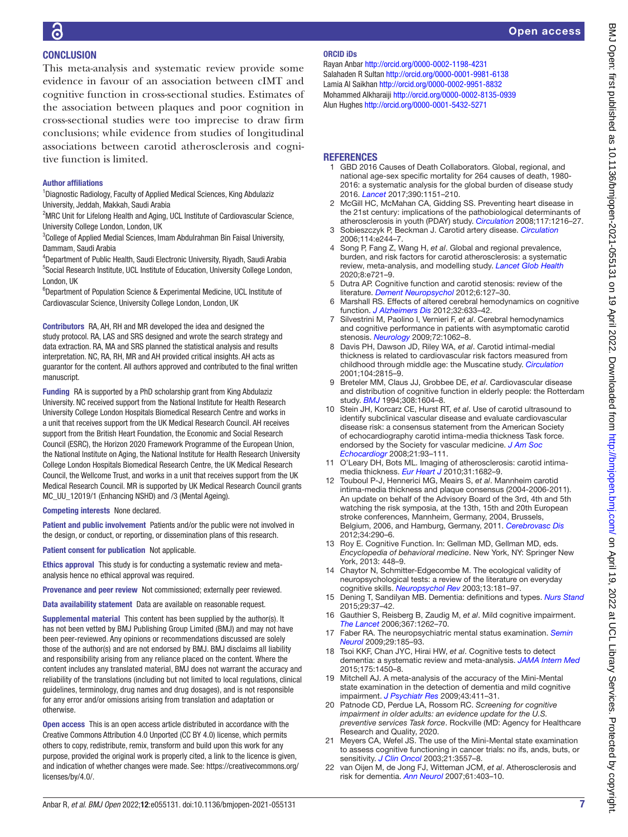# **CONCLUSION**

This meta-analysis and systematic review provide some evidence in favour of an association between cIMT and cognitive function in cross-sectional studies. Estimates of the association between plaques and poor cognition in cross-sectional studies were too imprecise to draw firm conclusions; while evidence from studies of longitudinal associations between carotid atherosclerosis and cognitive function is limited.

## Author affiliations

<sup>1</sup>Diagnostic Radiology, Faculty of Applied Medical Sciences, King Abdulaziz University, Jeddah, Makkah, Saudi Arabia

<sup>2</sup>MRC Unit for Lifelong Health and Aging, UCL Institute of Cardiovascular Science, University College London, London, UK

<sup>3</sup>College of Applied Medial Sciences, Imam Abdulrahman Bin Faisal University, Dammam, Saudi Arabia

4 Department of Public Health, Saudi Electronic University, Riyadh, Saudi Arabia <sup>5</sup>Social Research Institute, UCL Institute of Education, University College London, London, UK

<sup>6</sup>Department of Population Science & Experimental Medicine, UCL Institute of Cardiovascular Science, University College London, London, UK

Contributors RA, AH, RH and MR developed the idea and designed the study protocol. RA, LAS and SRS designed and wrote the search strategy and data extraction. RA, MA and SRS planned the statistical analysis and results interpretation. NC, RA, RH, MR and AH provided critical insights. AH acts as guarantor for the content. All authors approved and contributed to the final written manuscript.

Funding RA is supported by a PhD scholarship grant from King Abdulaziz University. NC received support from the National Institute for Health Research University College London Hospitals Biomedical Research Centre and works in a unit that receives support from the UK Medical Research Council. AH receives support from the British Heart Foundation, the Economic and Social Research Council (ESRC), the Horizon 2020 Framework Programme of the European Union, the National Institute on Aging, the National Institute for Health Research University College London Hospitals Biomedical Research Centre, the UK Medical Research Council, the Wellcome Trust, and works in a unit that receives support from the UK Medical Research Council. MR is supported by UK Medical Research Council grants MC\_UU\_12019/1 (Enhancing NSHD) and /3 (Mental Ageing).

Competing interests None declared.

Patient and public involvement Patients and/or the public were not involved in the design, or conduct, or reporting, or dissemination plans of this research.

Patient consent for publication Not applicable.

Ethics approval This study is for conducting a systematic review and metaanalysis hence no ethical approval was required.

Provenance and peer review Not commissioned; externally peer reviewed.

Data availability statement Data are available on reasonable request.

Supplemental material This content has been supplied by the author(s). It has not been vetted by BMJ Publishing Group Limited (BMJ) and may not have been peer-reviewed. Any opinions or recommendations discussed are solely those of the author(s) and are not endorsed by BMJ. BMJ disclaims all liability and responsibility arising from any reliance placed on the content. Where the content includes any translated material, BMJ does not warrant the accuracy and reliability of the translations (including but not limited to local regulations, clinical guidelines, terminology, drug names and drug dosages), and is not responsible for any error and/or omissions arising from translation and adaptation or otherwise.

Open access This is an open access article distributed in accordance with the Creative Commons Attribution 4.0 Unported (CC BY 4.0) license, which permits others to copy, redistribute, remix, transform and build upon this work for any purpose, provided the original work is properly cited, a link to the licence is given, and indication of whether changes were made. See: [https://creativecommons.org/](https://creativecommons.org/licenses/by/4.0/) [licenses/by/4.0/.](https://creativecommons.org/licenses/by/4.0/)

#### ORCID iDs

Rayan Anbar<http://orcid.org/0000-0002-1198-4231> Salahaden R Sultan<http://orcid.org/0000-0001-9981-6138> Lamia Al Saikhan<http://orcid.org/0000-0002-9951-8832> Mohammed Alkharaiji<http://orcid.org/0000-0002-8135-0939> Alun Hughes <http://orcid.org/0000-0001-5432-5271>

## **REFERENCES**

- <span id="page-6-0"></span>1 GBD 2016 Causes of Death Collaborators. Global, regional, and national age-sex specific mortality for 264 causes of death, 1980- 2016: a systematic analysis for the global burden of disease study 2016. *[Lancet](http://dx.doi.org/10.1016/S0140-6736(17)32152-9)* 2017;390:1151–210.
- <span id="page-6-1"></span>2 McGill HC, McMahan CA, Gidding SS. Preventing heart disease in the 21st century: implications of the pathobiological determinants of atherosclerosis in youth (PDAY) study. *[Circulation](http://dx.doi.org/10.1161/CIRCULATIONAHA.107.717033)* 2008;117:1216–27.
- <span id="page-6-2"></span>3 Sobieszczyk P, Beckman J. Carotid artery disease. *[Circulation](http://dx.doi.org/10.1161/CIRCULATIONAHA.105.542860)* 2006;114:e244–7.
- <span id="page-6-3"></span>4 Song P, Fang Z, Wang H, *et al*. Global and regional prevalence, burden, and risk factors for carotid atherosclerosis: a systematic review, meta-analysis, and modelling study. *[Lancet Glob Health](http://dx.doi.org/10.1016/S2214-109X(20)30117-0)* 2020;8:e721–9.
- <span id="page-6-4"></span>Dutra AP. Cognitive function and carotid stenosis: review of the literature. *[Dement Neuropsychol](http://dx.doi.org/10.1590/S1980-57642012DN06030003)* 2012;6:127–30.
- <span id="page-6-5"></span>6 Marshall RS. Effects of altered cerebral hemodynamics on cognitive function. *[J Alzheimers Dis](http://dx.doi.org/10.3233/JAD-2012-120949)* 2012;32:633–42.
- 7 Silvestrini M, Paolino I, Vernieri F, *et al*. Cerebral hemodynamics and cognitive performance in patients with asymptomatic carotid stenosis. *[Neurology](http://dx.doi.org/10.1212/01.wnl.0000345015.35520.52)* 2009;72:1062–8.
- <span id="page-6-6"></span>8 Davis PH, Dawson JD, Riley WA, *et al*. Carotid intimal-medial thickness is related to cardiovascular risk factors measured from childhood through middle age: the Muscatine study. *[Circulation](http://dx.doi.org/10.1161/hc4601.099486)* 2001;104:2815–9.
- <span id="page-6-7"></span>9 Breteler MM, Claus JJ, Grobbee DE, *et al*. Cardiovascular disease and distribution of cognitive function in elderly people: the Rotterdam study. *[BMJ](http://dx.doi.org/10.1136/bmj.308.6944.1604)* 1994;308:1604–8.
- <span id="page-6-17"></span>10 Stein JH, Korcarz CE, Hurst RT, *et al*. Use of carotid ultrasound to identify subclinical vascular disease and evaluate cardiovascular disease risk: a consensus statement from the American Society of echocardiography carotid intima-media thickness Task force. endorsed by the Society for vascular medicine. *[J Am Soc](http://dx.doi.org/10.1016/j.echo.2007.11.011)  [Echocardiogr](http://dx.doi.org/10.1016/j.echo.2007.11.011)* 2008;21:93–111.
- 11 O'Leary DH, Bots ML. Imaging of atherosclerosis: carotid intimamedia thickness. *[Eur Heart J](http://dx.doi.org/10.1093/eurheartj/ehq185)* 2010;31:1682–9.
- 12 Touboul P-J, Hennerici MG, Meairs S, *et al*. Mannheim carotid intima-media thickness and plaque consensus (2004-2006-2011). An update on behalf of the Advisory Board of the 3rd, 4th and 5th watching the risk symposia, at the 13th, 15th and 20th European stroke conferences, Mannheim, Germany, 2004, Brussels, Belgium, 2006, and Hamburg, Germany, 2011. *[Cerebrovasc Dis](http://dx.doi.org/10.1159/000343145)* 2012;34:290–6.
- <span id="page-6-8"></span>13 Roy E. Cognitive Function. In: Gellman MD, Gellman MD, eds. *Encyclopedia of behavioral medicine*. New York, NY: Springer New York, 2013: 448–9.
- <span id="page-6-9"></span>14 Chaytor N, Schmitter-Edgecombe M. The ecological validity of neuropsychological tests: a review of the literature on everyday cognitive skills. *[Neuropsychol Rev](http://dx.doi.org/10.1023/b:nerv.0000009483.91468.fb)* 2003;13:181–97.
- <span id="page-6-10"></span>15 Dening T, Sandilyan MB. Dementia: definitions and types. *[Nurs Stand](http://dx.doi.org/10.7748/ns.29.37.37.e9405)* 2015;29:37–42.
- <span id="page-6-11"></span>16 Gauthier S, Reisberg B, Zaudig M, *et al*. Mild cognitive impairment. *[The Lancet](http://dx.doi.org/10.1016/S0140-6736(06)68542-5)* 2006;367:1262–70.
- <span id="page-6-12"></span>17 Faber RA. The neuropsychiatric mental status examination. *[Semin](http://dx.doi.org/10.1055/s-0029-1223874)  [Neurol](http://dx.doi.org/10.1055/s-0029-1223874)* 2009;29:185–93.
- <span id="page-6-13"></span>18 Tsoi KKF, Chan JYC, Hirai HW, *et al*. Cognitive tests to detect dementia: a systematic review and meta-analysis. *[JAMA Intern Med](http://dx.doi.org/10.1001/jamainternmed.2015.2152)* 2015;175:1450–8.
- <span id="page-6-15"></span>19 Mitchell AJ. A meta-analysis of the accuracy of the Mini-Mental state examination in the detection of dementia and mild cognitive impairment. *[J Psychiatr Res](http://dx.doi.org/10.1016/j.jpsychires.2008.04.014)* 2009;43:411–31.
- 20 Patnode CD, Perdue LA, Rossom RC. *Screening for cognitive impairment in older adults: an evidence update for the U.S. preventive services Task force*. Rockville (MD: Agency for Healthcare Research and Quality, 2020.
- <span id="page-6-14"></span>21 Meyers CA, Wefel JS. The use of the Mini-Mental state examination to assess cognitive functioning in cancer trials: no ifs, ands, buts, or sensitivity. *[J Clin Oncol](http://dx.doi.org/10.1200/JCO.2003.07.080)* 2003;21:3557–8.
- <span id="page-6-16"></span>22 van Oijen M, de Jong FJ, Witteman JCM, *et al*. Atherosclerosis and risk for dementia. *[Ann Neurol](http://dx.doi.org/10.1002/ana.21073)* 2007;61:403–10.